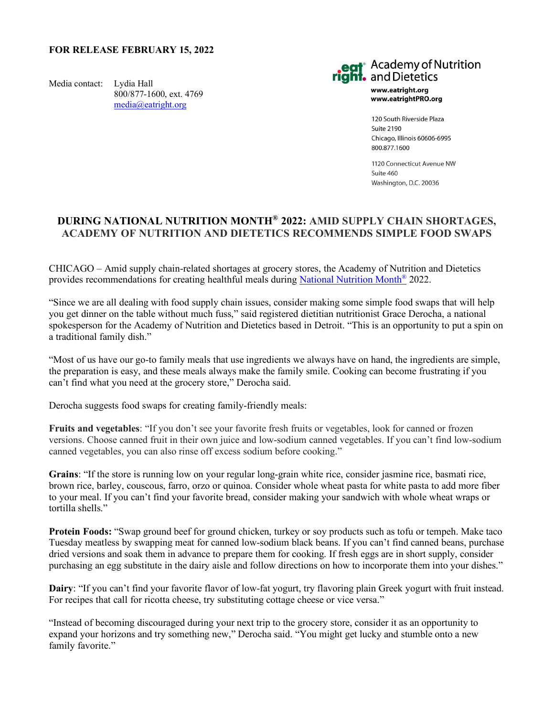## **FOR RELEASE FEBRUARY 15, 2022**

Media contact: Lydia Hall 800/877-1600, ext. 4769 [media@eatright.org](mailto:media@eatright.org)



www.eatright.org www.eatrightPRO.org

120 South Riverside Plaza Suite 2190 Chicago, Illinois 60606-6995 800.877.1600

1120 Connecticut Avenue NW  $S$ uite 460 Washington, D.C. 20036

## **DURING NATIONAL NUTRITION MONTH® 2022: AMID SUPPLY CHAIN SHORTAGES, ACADEMY OF NUTRITION AND DIETETICS RECOMMENDS SIMPLE FOOD SWAPS**

CHICAGO – Amid supply chain-related shortages at grocery stores, the Academy of Nutrition and Dietetics provides recommendations for creating healthful meals during [National Nutrition Month®](https://www.eatright.org/food/resources/national-nutrition-month) 2022.

"Since we are all dealing with food supply chain issues, consider making some simple food swaps that will help you get dinner on the table without much fuss," said registered dietitian nutritionist Grace Derocha, a national spokesperson for the Academy of Nutrition and Dietetics based in Detroit. "This is an opportunity to put a spin on a traditional family dish."

"Most of us have our go-to family meals that use ingredients we always have on hand, the ingredients are simple, the preparation is easy, and these meals always make the family smile. Cooking can become frustrating if you can't find what you need at the grocery store," Derocha said.

Derocha suggests food swaps for creating family-friendly meals:

**Fruits and vegetables**: "If you don't see your favorite fresh fruits or vegetables, look for canned or frozen versions. Choose canned fruit in their own juice and low-sodium canned vegetables. If you can't find low-sodium canned vegetables, you can also rinse off excess sodium before cooking."

**Grains**: "If the store is running low on your regular long-grain white rice, consider jasmine rice, basmati rice, brown rice, barley, couscous, farro, orzo or quinoa. Consider whole wheat pasta for white pasta to add more fiber to your meal. If you can't find your favorite bread, consider making your sandwich with whole wheat wraps or tortilla shells."

**Protein Foods:** "Swap ground beef for ground chicken, turkey or soy products such as tofu or tempeh. Make taco Tuesday meatless by swapping meat for canned low-sodium black beans. If you can't find canned beans, purchase dried versions and soak them in advance to prepare them for cooking. If fresh eggs are in short supply, consider purchasing an egg substitute in the dairy aisle and follow directions on how to incorporate them into your dishes."

**Dairy**: "If you can't find your favorite flavor of low-fat yogurt, try flavoring plain Greek yogurt with fruit instead. For recipes that call for ricotta cheese, try substituting cottage cheese or vice versa."

"Instead of becoming discouraged during your next trip to the grocery store, consider it as an opportunity to expand your horizons and try something new," Derocha said. "You might get lucky and stumble onto a new family favorite."